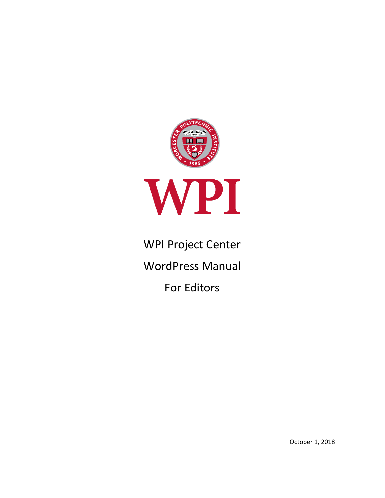

# WPI Project Center

WordPress Manual

For Editors

October 1, 2018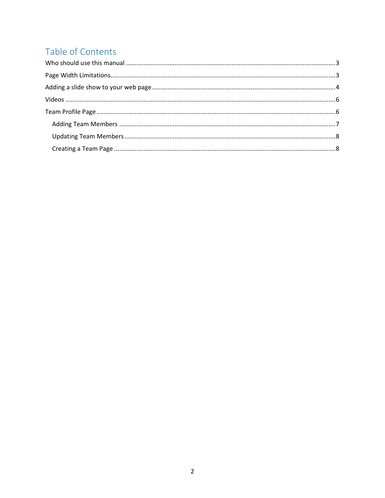## Table of Contents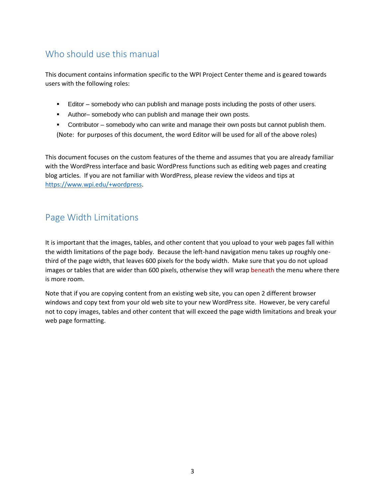### <span id="page-2-0"></span>Who should use this manual

This document contains information specific to the WPI Project Center theme and is geared towards users with the following roles:

- **Editor somebody who can publish and manage posts including the posts of other users.**
- Author– somebody who can publish and manage their own posts.
- **•** Contributor somebody who can write and manage their own posts but cannot publish them. (Note: for purposes of this document, the word Editor will be used for all of the above roles)

This document focuses on the custom features of the theme and assumes that you are already familiar with the WordPress interface and basic WordPress functions such as editing web pages and creating blog articles. If you are not familiar with WordPress, please review the videos and tips at [https://www.wpi.edu/+wordpress.](https://www.wpi.edu/+wordpress)

### <span id="page-2-1"></span>Page Width Limitations

It is important that the images, tables, and other content that you upload to your web pages fall within the width limitations of the page body. Because the left-hand navigation menu takes up roughly onethird of the page width, that leaves 600 pixels for the body width. Make sure that you do not upload images or tables that are wider than 600 pixels, otherwise they will wrap beneath the menu where there is more room.

Note that if you are copying content from an existing web site, you can open 2 different browser windows and copy text from your old web site to your new WordPress site. However, be very careful not to copy images, tables and other content that will exceed the page width limitations and break your web page formatting.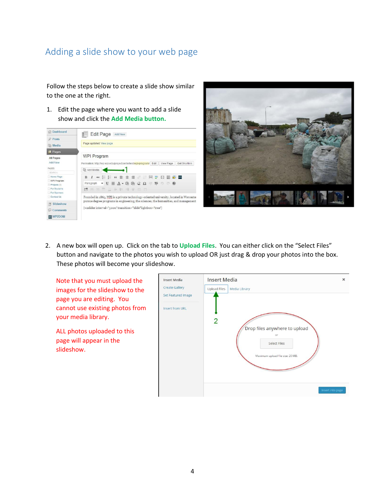### <span id="page-3-0"></span>Adding a slide show to your web page

Follow the steps below to create a slide show similar to the one at the right.

1. Edit the page where you want to add a slide show and click the **Add Media button.**

| <b>备 Dashboard</b>          | Edit Page Add New                                                                                                                 |  |  |  |
|-----------------------------|-----------------------------------------------------------------------------------------------------------------------------------|--|--|--|
| $x^2$ Posts                 |                                                                                                                                   |  |  |  |
| <b>ID:</b> Media            | Page updated. View page                                                                                                           |  |  |  |
| [ <sup>8</sup> Pages        |                                                                                                                                   |  |  |  |
| <b>All Pages</b>            | <b>WPI Program</b>                                                                                                                |  |  |  |
| Add New                     | Permalink: http://wp.wpi.edu/projectcentertest/wpi-program/ Edit View Page<br>Get Shortlink                                       |  |  |  |
| PAGES                       | Add Media                                                                                                                         |  |  |  |
| SEARCH                      |                                                                                                                                   |  |  |  |
| Home Page                   | ₩ 日日 4 ままき 2 日 ツ 四 間 日 四<br>$R$ $I$                                                                                               |  |  |  |
| WPI Program<br>Projects (3) | $\mathbf{v} \equiv \mathbf{A} \cdot \mathbf{B} \mathbf{B} \mathbf{Q} \Omega \equiv \mathbf{B} \mathbf{0} \mathbf{0}$<br>Paragraph |  |  |  |
| For Students                | ■ 用画音显示数 博里面面                                                                                                                     |  |  |  |
| For Sponsors                |                                                                                                                                   |  |  |  |
| Contact Us                  | Founded in 1865. WPI is a private technology-oriented university, located in Worceste                                             |  |  |  |
| Slideshow                   | pursue degree programs in engineering, the sciences, the humanities, and management                                               |  |  |  |
| Comments                    | [wzslider interval="5000" transition="slide"lightbox="true"]                                                                      |  |  |  |
| <b>WPZOOM</b>               |                                                                                                                                   |  |  |  |



2. A new box will open up. Click on the tab to **Upload Files**. You can either click on the "Select Files" button and navigate to the photos you wish to upload OR just drag & drop your photos into the box. These photos will become your slideshow.

Note that you must upload the images for the slideshow to the page you are editing. You cannot use existing photos from your media library.

ALL photos uploaded to this page will appear in the slideshow.

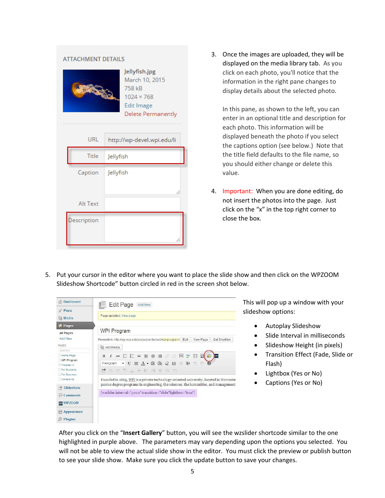| <b>ATTACHMENT DETAILS</b> |                                                                                                    |  |  |  |  |
|---------------------------|----------------------------------------------------------------------------------------------------|--|--|--|--|
|                           | Jellyfish.jpg<br>March 10, 2015<br>758 kB<br>$1024 \times 768$<br>Edit Image<br>Delete Permanently |  |  |  |  |
| URL                       | http://wp-devel.wpi.edu/li                                                                         |  |  |  |  |
| Title                     | Jellyfish                                                                                          |  |  |  |  |
| Caption                   | Jellyfish                                                                                          |  |  |  |  |
|                           | 1,                                                                                                 |  |  |  |  |
| <b>Alt Text</b>           |                                                                                                    |  |  |  |  |
| escription                |                                                                                                    |  |  |  |  |

3. Once the images are uploaded, they will be displayed on the media library tab. As you click on each photo, you'll notice that the information in the right pane changes to display details about the selected photo.

In this pane, as shown to the left, you can enter in an optional title and description for each photo. This information will be displayed beneath the photo if you select the captions option (see below.) Note that the title field defaults to the file name, so you should either change or delete this value.

- 4. Important: When you are done editing, do not insert the photos into the page. Just click on the "x" in the top right corner to close the box.
- 5. Put your cursor in the editor where you want to place the slide show and then click on the WPZOOM Slideshow Shortcode" button circled in red in the screen shot below.



This will pop up a window with your slideshow options:

- Autoplay Slideshow
- Slide Interval in milliseconds
- Slideshow Height (in pixels)
- Transition Effect (Fade, Slide or Flash)
- Lightbox (Yes or No)
- Captions (Yes or No)

After you click on the "**Insert Gallery**" button, you will see the wzslider shortcode similar to the one highlighted in purple above. The parameters may vary depending upon the options you selected. You will not be able to view the actual slide show in the editor. You must click the preview or publish button to see your slide show. Make sure you click the update button to save your changes.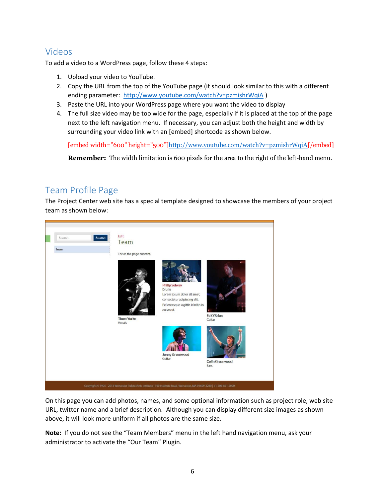### <span id="page-5-0"></span>Videos

To add a video to a WordPress page, follow these 4 steps:

- 1. Upload your video to YouTube.
- 2. Copy the URL from the top of the YouTube page (it should look similar to this with a different ending parameter: <http://www.youtube.com/watch?v=pzmishrWqiA> )
- 3. Paste the URL into your WordPress page where you want the video to display
- 4. The full size video may be too wide for the page, especially if it is placed at the top of the page next to the left navigation menu. If necessary, you can adjust both the height and width by surrounding your video link with an [embed] shortcode as shown below.

[embed width="600" height="500"[\]http://www.youtube.com/watch?v=pzmishrWqiA\[](http://www.youtube.com/watch?v=pzmishrWqiA)/embed]

**Remember:** The width limitation is 600 pixels for the area to the right of the left-hand menu.

#### <span id="page-5-1"></span>Team Profile Page

The Project Center web site has a special template designed to showcase the members of your project team as shown below:



On this page you can add photos, names, and some optional information such as project role, web site URL, twitter name and a brief description. Although you can display different size images as shown above, it will look more uniform if all photos are the same size.

**Note:** If you do not see the "Team Members" menu in the left hand navigation menu, ask your administrator to activate the "Our Team" Plugin.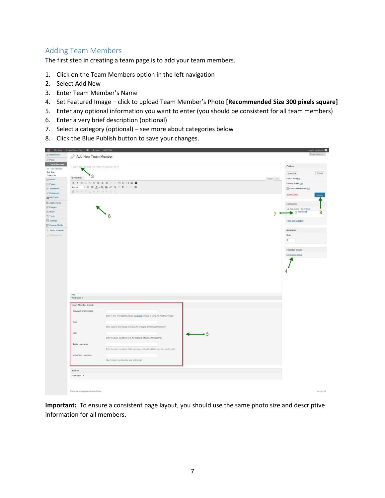#### <span id="page-6-0"></span>Adding Team Members

The first step in creating a team page is to add your team members.

- 1. Click on the Team Members option in the left navigation
- 2. Select Add New
- 3. Enter Team Member's Name
- 4. Set Featured Image click to upload Team Member's Photo **[Recommended Size 300 pixels square]**
- 5. Enter any optional information you want to enter (you should be consistent for all team members)
- 6. Enter a very brief description (optional)
- 7. Select a category (optional) see more about categories below
- 8. Click the Blue Publish button to save your changes.

|                                                                       | Add New Team Member                                                                   | Screen Options                             |
|-----------------------------------------------------------------------|---------------------------------------------------------------------------------------|--------------------------------------------|
| Team Members<br>Enter the team member's name here<br>All Team Members |                                                                                       | Publish                                    |
|                                                                       |                                                                                       | Preview<br>Save Draft                      |
| 3<br><b>Q</b> Add Media                                               | Visual Text                                                                           | <b>Status: Draft Ent</b>                   |
|                                                                       |                                                                                       | Visibility: Public Edit                    |
| Format                                                                | $\cdot$ U = $\Delta$ · 0 @ 2 $\Omega$ = \$ 0 0 0                                      | Publish immediately Edit                   |
| <b>BEETLANNYSE</b>                                                    |                                                                                       |                                            |
|                                                                       |                                                                                       | Move to Trash<br>Publish                   |
| Appearance                                                            |                                                                                       |                                            |
|                                                                       |                                                                                       | Categories                                 |
|                                                                       |                                                                                       | All Categories Most Used<br>8<br>Radiohead |
|                                                                       | $\bullet$ 6<br>7                                                                      |                                            |
|                                                                       |                                                                                       | + Add New Category                         |
| <b>El Custom Fields</b>                                               |                                                                                       |                                            |
| Smart Youtube                                                         |                                                                                       | Attributes                                 |
| < Cottons menu                                                        |                                                                                       | Order                                      |
|                                                                       |                                                                                       | $\circ$                                    |
|                                                                       |                                                                                       | Featured Image                             |
|                                                                       |                                                                                       | Set featured Image                         |
|                                                                       |                                                                                       |                                            |
|                                                                       |                                                                                       |                                            |
|                                                                       |                                                                                       |                                            |
|                                                                       |                                                                                       | 4                                          |
|                                                                       |                                                                                       |                                            |
|                                                                       |                                                                                       |                                            |
|                                                                       |                                                                                       |                                            |
|                                                                       |                                                                                       |                                            |
|                                                                       |                                                                                       |                                            |
| Path:<br>Word count 0                                                 |                                                                                       |                                            |
| Team Member Details                                                   |                                                                                       |                                            |
| Gravatar E-mail Address                                               |                                                                                       |                                            |
|                                                                       | Enter in an e-mail address, to use a Gravatar, instead of using the "Featured Image". |                                            |
|                                                                       |                                                                                       |                                            |
| Role                                                                  |                                                                                       |                                            |
|                                                                       | Enter a byline for the team member (for example: "Director of Production").           |                                            |
| URL.                                                                  | $\longrightarrow$ 5                                                                   |                                            |
|                                                                       | Enter this team member's URL (for example: http://woothemes.com/).                    |                                            |
| Twitter Usemame                                                       |                                                                                       |                                            |
|                                                                       | Enter this team member's Twitter username without the @ (for example, woothernes).    |                                            |
|                                                                       |                                                                                       |                                            |
| WordPress Usemame                                                     | Map this team member to a user on this site.                                          |                                            |
|                                                                       |                                                                                       |                                            |
| Author                                                                |                                                                                       |                                            |
| egallagher =                                                          |                                                                                       |                                            |

**Important:** To ensure a consistent page layout, you should use the same photo size and descriptive information for all members.